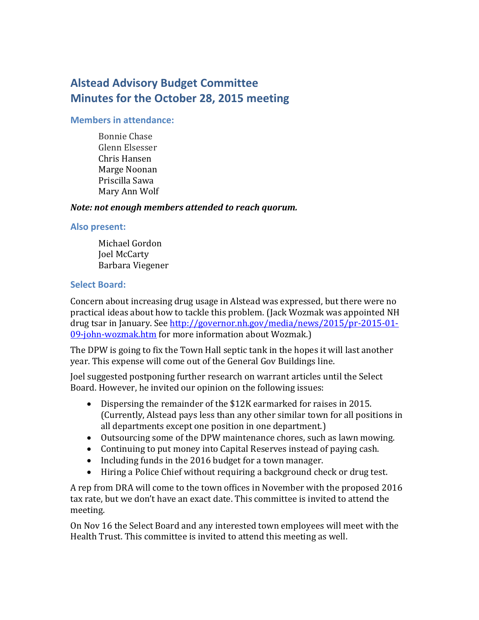# **Alstead Advisory Budget Committee Minutes for the October 28, 2015 meeting**

## **Members in attendance:**

Bonnie Chase Glenn Elsesser Chris Hansen Marge Noonan Priscilla Sawa Mary Ann Wolf

## *Note: not enough members attended to reach quorum.*

#### **Also present:**

Michael Gordon Joel McCarty Barbara Viegener

## **Select Board:**

Concern about increasing drug usage in Alstead was expressed, but there were no practical ideas about how to tackle this problem. (Jack Wozmak was appointed NH drug tsar in January. See [http://governor.nh.gov/media/news/2015/pr-2015-01-](http://governor.nh.gov/media/news/2015/pr-2015-01-09-john-wozmak.htm) [09-john-wozmak.htm](http://governor.nh.gov/media/news/2015/pr-2015-01-09-john-wozmak.htm) for more information about Wozmak.)

The DPW is going to fix the Town Hall septic tank in the hopes it will last another year. This expense will come out of the General Gov Buildings line.

Joel suggested postponing further research on warrant articles until the Select Board. However, he invited our opinion on the following issues:

- Dispersing the remainder of the \$12K earmarked for raises in 2015. (Currently, Alstead pays less than any other similar town for all positions in all departments except one position in one department.)
- Outsourcing some of the DPW maintenance chores, such as lawn mowing.
- Continuing to put money into Capital Reserves instead of paying cash.
- Including funds in the 2016 budget for a town manager.
- Hiring a Police Chief without requiring a background check or drug test.

A rep from DRA will come to the town offices in November with the proposed 2016 tax rate, but we don't have an exact date. This committee is invited to attend the meeting.

On Nov 16 the Select Board and any interested town employees will meet with the Health Trust. This committee is invited to attend this meeting as well.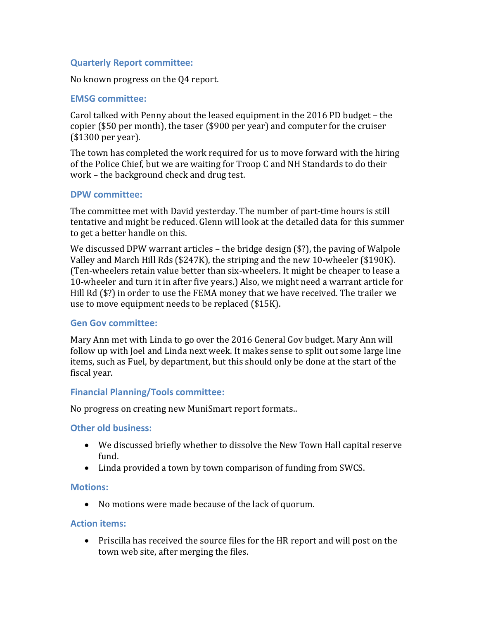## **Quarterly Report committee:**

No known progress on the Q4 report.

## **EMSG committee:**

Carol talked with Penny about the leased equipment in the 2016 PD budget – the copier (\$50 per month), the taser (\$900 per year) and computer for the cruiser (\$1300 per year).

The town has completed the work required for us to move forward with the hiring of the Police Chief, but we are waiting for Troop C and NH Standards to do their work – the background check and drug test.

#### **DPW committee:**

The committee met with David yesterday. The number of part-time hours is still tentative and might be reduced. Glenn will look at the detailed data for this summer to get a better handle on this.

We discussed DPW warrant articles – the bridge design (\$?), the paving of Walpole Valley and March Hill Rds (\$247K), the striping and the new 10-wheeler (\$190K). (Ten-wheelers retain value better than six-wheelers. It might be cheaper to lease a 10-wheeler and turn it in after five years.) Also, we might need a warrant article for Hill Rd (\$?) in order to use the FEMA money that we have received. The trailer we use to move equipment needs to be replaced (\$15K).

#### **Gen Gov committee:**

Mary Ann met with Linda to go over the 2016 General Gov budget. Mary Ann will follow up with Joel and Linda next week. It makes sense to split out some large line items, such as Fuel, by department, but this should only be done at the start of the fiscal year.

## **Financial Planning/Tools committee:**

No progress on creating new MuniSmart report formats..

#### **Other old business:**

- We discussed briefly whether to dissolve the New Town Hall capital reserve fund.
- Linda provided a town by town comparison of funding from SWCS.

#### **Motions:**

No motions were made because of the lack of quorum.

#### **Action items:**

 Priscilla has received the source files for the HR report and will post on the town web site, after merging the files.